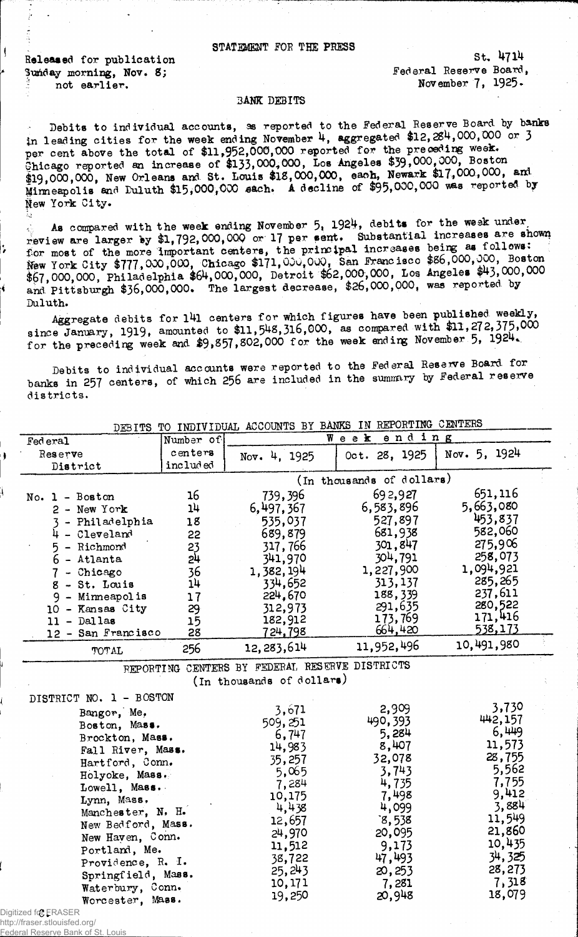## STATEMENT FOE THE PRESS

Released for publication Sunday morning, Nov. 8; not earlier.

St. 4714 Federal Reserve Board, November 7,  $1925-$ 

## BANK DEBITS

Debits to individual accounts, as reported to the Federal Reserve Board, by banks in leading cities for the week ending November 4, aggregated \$12,284,000,000 or 3 per cent above the total of \$11,952,000,000 reported for the preceding week. Chicago reported an increase of \$133,000,000, Los Angeles \$39,000,000, Boston  $319,000,000$ , New Orleans and St. Louis  $318,000,000$ , each, Newark  $31/1,000,000,$  and Minneapolis and Duluth  $$15,000,000$  sach. A decline of  $$95,000,000$  was reported by New York City.

As compared with the week ending November  $5$ , 1924, debits for the week under review are larger by \$1,792,000,000 or 17 per sent. Substantial increases are shown for most of the more important centers, the principal increases New York City \$777,000,000, Chicago \$171,000,000, San Francisco \$86,000,000, Boston \$67,000,000. Philadelphia \$64,000,000, Detroit \$62,000,000, Los Angeles \$43,000,000 and Pittsburgh \$36,000,000. The largest decrease, \$26,000,000, was reported by Duluth.

Aggregate debits for 141 centers for which figures have been published weekly, since January, 1919, amounted to \$11,542,316,000, as compared with \$11,272,375,000 for the preceding week and \$9,857,802,000 for the week ending November 5, 1924.

Debits to individual accounts were reported to the Federal Reserve Board for banks in 257 centers, of which 256 are included in the summary by Federal reserve districts.

| DEBITS TO INDIVIDUAL ACCOUNTS BY BANKS IN REPORTING CENTERS |                     |                                                |                           |                 |
|-------------------------------------------------------------|---------------------|------------------------------------------------|---------------------------|-----------------|
| Fed eral                                                    | Number of           |                                                | Week<br>ending            |                 |
| Reserve<br>District                                         | centers<br>included | Nov. 4, 1925                                   | Oct. 28, 1925             | Nov. 5, 1924    |
|                                                             |                     |                                                | (In thousands of dollars) |                 |
| $No. 1 - Boston$                                            | 16                  | 739,396                                        | 692,927                   | 651,116         |
| 2 - New York                                                | 1 <sup>h</sup>      | 6,497,367                                      | 6,583,896                 | 5,663,080       |
| 3 - Philadelphia                                            | 18                  | 535,037                                        | 527,897                   | 453,837         |
| $4 - Cleveland$                                             | 22                  | 689,879                                        | 681,938                   | 582,060         |
| 5 - Richmond                                                | 23                  | 317,766                                        | 301,847                   | 275,906         |
| $6$ - Atlanta                                               | 24                  | 341,970                                        | 304,791                   | 258,073         |
| 7 - Chicago                                                 | 36                  | 1,382,194                                      | 1,227,900                 | 1,094,921       |
| $8 - St.$ Louis                                             | 14                  | 334,652                                        | 313,137                   | 285,265         |
| 9 - Minneapolis                                             | 17                  | 224,670                                        | 188,339                   | 237,611         |
| 10 - Kansas City                                            | 29                  | 312,973                                        | 291,635                   | 280,522         |
| $11 -$ Dallas                                               | 15                  | 182,912                                        | 173,769                   | 171,416         |
| 12 - San Francisco                                          | 28                  | 724,798                                        | 664,420                   | 538,173         |
| <b>TOTAL</b>                                                | 256                 | 12,283,614                                     | 11,952,496                | 10,491,980      |
|                                                             |                     | REPORTING CENTERS BY FEDERAL RESERVE DISTRICTS |                           |                 |
|                                                             |                     | (In thousands of dollars)                      |                           |                 |
| DISTRICT NO. 1 - BOSTON                                     |                     |                                                |                           |                 |
| Bangor, Me,                                                 |                     | 3,671                                          | 2,909                     | 3,730           |
| Boston, Mass.                                               |                     | 509,251                                        | 490, 393                  | 442,157         |
| Brockton, Mass.                                             |                     | 6,747                                          | 5,284                     | 6,449           |
| Fall River, Mass.                                           |                     | 14,983                                         | 8,407                     | 11,573          |
| Hartford, Conn.                                             |                     | 35,257                                         | 32,078                    | 28,755          |
| Holyoke, Mass.                                              |                     | 5,065                                          | 3,743                     | 5,562           |
| Lowell, Mass.                                               |                     | 7,284                                          | 4,735                     | 7,755           |
| Lynn, Mass.                                                 |                     | 10,175                                         | 7,498                     | 9,412           |
| Manchester, N. H.                                           |                     | 4,438                                          | 4,099                     | 3,884<br>11,549 |
| New Bedford, Mass.                                          |                     | 12,657                                         | 3,538                     | 21,860          |
| New Haven, Conn.                                            |                     | 24,970                                         | 20,095                    | 10,435          |
| Portland, Me.                                               |                     | 11,512                                         | 9,173                     | 34, 325         |
| Providence, R. I.                                           |                     | 38,722                                         | 47,493                    | 28,273          |
| Springfield, Mass.                                          |                     | 25,243                                         | 20, 253                   | 7,318           |
| Waterbury, Conn.                                            |                     | 10,171<br>19,250                               | 7,281<br>20,948           | 18,079          |
| Worcester, Mass.                                            |                     |                                                |                           |                 |
| Digitized for <b>FRASER</b>                                 |                     |                                                |                           |                 |

http://fraser.stlouisfed.org/

ederal Reserve Bank of St.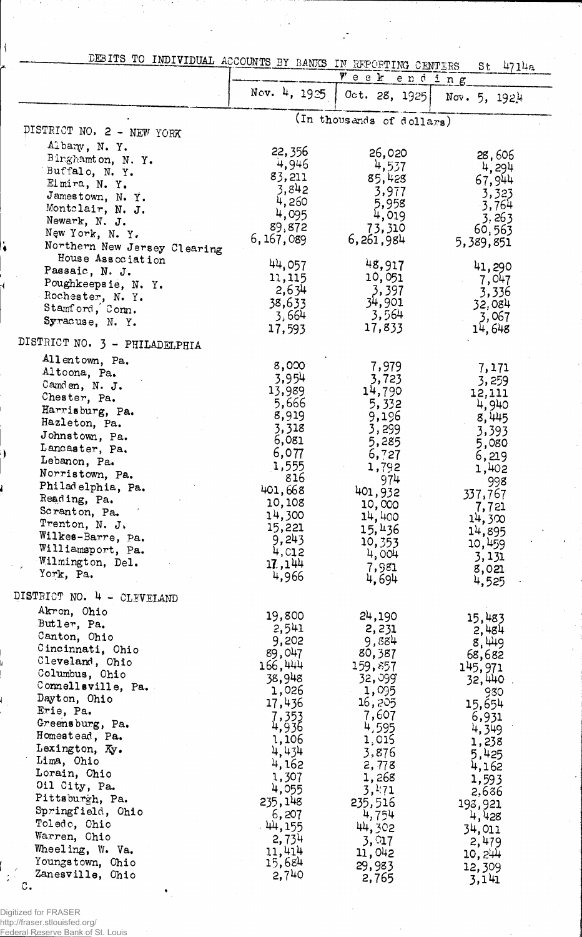|                                                   | DEBITS TO INDIVIDUAL ACCOUNTS BY BANKS IN REPORTING CENTERS |                           | $St$ 4714a       |
|---------------------------------------------------|-------------------------------------------------------------|---------------------------|------------------|
|                                                   | Nov. 4, 1925                                                | Week ending               |                  |
|                                                   |                                                             | Oct. 28, 1925             | Nov. $5, 1924$   |
|                                                   |                                                             | (In thousands of dollars) |                  |
| DISTRICT NO. 2 - NEW YORK                         |                                                             |                           |                  |
| Albany, N.Y.                                      | 22, 356                                                     | 26,020                    | 28,606           |
| Binghamton, N.Y.<br>Buffalo, N.Y.                 | 4,946                                                       | 4,537                     | 4,294            |
| Elmira, N. Y.                                     | 83,211                                                      | 85,428                    | 67,944           |
| Jamestown, N. Y.                                  | 3,842                                                       | 3,977                     | 3,323            |
| Montclair, N. J.                                  | 4,260<br>4,095                                              | 5,958<br>4,019            | 3,764            |
| Newark, N. J.                                     | 89,872                                                      | 73,310                    | 3,263<br>60,563  |
| New York, N. Y.                                   | 6, 167, 089                                                 | 6,261,984                 | 5,389,851        |
| Northern New Jersey Clearing<br>House Association |                                                             |                           |                  |
| Passaic, N. J.                                    | 44,057                                                      | 48,917                    | 41,290           |
| Poughkeepsie, N.Y.                                | 11,115<br>2,634                                             | 10,051<br>3,397           | 7,047            |
| Rochester, N. Y.                                  | 38,633                                                      | 34,901                    | 3,336<br>32,084  |
| Stamford, Com.                                    | 3,664                                                       | 3,564                     | 3,067            |
| Syracuse, N.Y.                                    | 17,593                                                      | 17,833                    | 14,648           |
| DISTRICT NO. 3 - PHILADELPHIA                     |                                                             |                           |                  |
| Allentown, Pa.                                    | 8,000                                                       | 7,979                     | 7,171            |
| Altoona, Pa.                                      | 3,954                                                       | 3,723                     | 3,259            |
| Camden, N. J.<br>Chester, Pa.                     | 13,989                                                      | 14,790                    | 12,111           |
| Harrisburg, Pa.                                   | 5,666                                                       | 5,332                     | 4,940            |
| Hazleton, Pa.                                     | 8,919<br>3,318                                              | 9,196                     | 8,445            |
| Johnstown, Pa.                                    | 6,081                                                       | 3,299<br>5,285            | 3,393<br>5,080   |
| Lancaster, Pa.                                    | 6,077                                                       | 6,727                     | 6,219            |
| Lebanon, Pa.                                      | 1,555                                                       | 1,792                     | 1,402            |
| Norristown, Pa.<br>Philadelphia, Pa.              | 816                                                         | 974                       | 998              |
| Reading, Pa.                                      | 401,668<br>10,108                                           | 401,932                   | 337,767          |
| Scranton, Pa.                                     | 14,300                                                      | 10,000<br>14,400          | 7,721            |
| Trenton, N. J.                                    | 15,221                                                      | 15,436                    | 14,300<br>14,895 |
| Wilkes-Barre, Pa.                                 | 9,243                                                       | 10,353                    | 10,459           |
| Williamsport, Pa.<br>Wilmington, Del.             | 4, c12                                                      | 4,004                     | 3,131            |
| York, Pa.                                         | 17,144<br>4,966                                             | 7,981<br>4,694            | 8,021            |
| DISTRICT NO. 4 - CLEVELAND                        |                                                             |                           | 4,525            |
| Akron, Ohio                                       | 19,800                                                      |                           |                  |
| Butler, Pa.                                       | 2,541                                                       | 24,190<br>2,231           | 15,483<br>2,484  |
| Canton, Ohio                                      | 9,202                                                       | 9,884                     | 8,449            |
| Cincinnati, Ohio<br>Cleveland, Ohio               | 89,047                                                      | 80,387                    | 68,682           |
| Columbus, Ohio                                    | 166,444                                                     | 159,857                   | 145,971          |
| Connellsville, Pa.                                | 38,948<br>1,026                                             | 32, 399°<br>1,095         | 32,440<br>930    |
| Dayton, Ohio                                      | 17,436                                                      | 16,205                    | 15,654           |
| Erie, Pa.                                         | 7,353                                                       | 7,607                     | 6,931            |
| Greensburg, Pa.<br>Homestead, Pa.                 | 4,936                                                       | 4,595                     | 4,349            |
| Lexington, Ky.                                    | 1,106<br>4,434                                              | 1,015                     | 1,238            |
| Lima, Ohio                                        | 4,162                                                       | 3,876<br>2, 778           | 5,425<br>4,162   |
| Lorain, Ohio                                      | 1,307                                                       | 1,268                     | 1,593            |
| Oil City, Pa.                                     | 4,055                                                       | 3,171                     | 2,686            |
| Pittsburgh, Pa.<br>Springfield, Ohio              | 235,148                                                     | 235,516                   | 193,921          |
| Toledo, Ohio                                      | 6,207<br>.44,155                                            | 4,754                     | 4,428            |
| Warren, Ohio                                      | 2,734                                                       | 44,302<br>3, Q17          | 34,011           |
| Wheeling, W. Va.                                  | 11,414                                                      | 11,042                    | 2,479<br>10,244  |
| Youngstown, Ohio                                  | 15,684                                                      | 29,983                    | 12,309           |
| Zanesville, Ohio<br>с.                            | 2,740                                                       | 2,765                     | 3,141            |

÷,

 $\mathbb{R}^2$ 

Ŷ,

 $\sqrt{ }$ 

Digitized for FRASER http://fraser.stlouisfed.org/ Federal Reserve Bank of St. Louis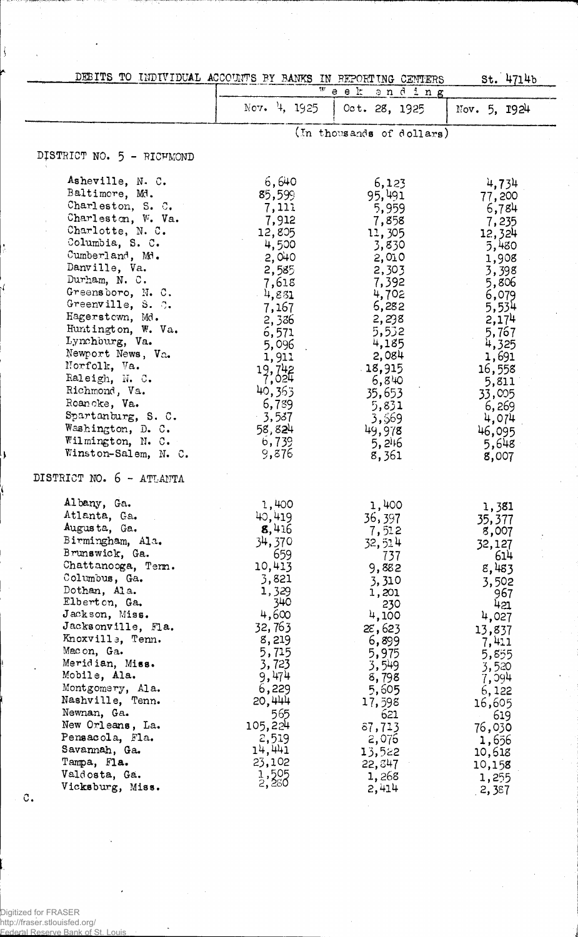| DEBITS TO INDIVIDUAL ACCOUNTS BY BANKS IN REPORTING CENTERS                                                                                                                                                                                                                                                                                                                                                                                                  |                                                                                                                                                                                                              |                                                                                                                                                                                                                   | St. 4714b                                                                                                                                                                                                        |
|--------------------------------------------------------------------------------------------------------------------------------------------------------------------------------------------------------------------------------------------------------------------------------------------------------------------------------------------------------------------------------------------------------------------------------------------------------------|--------------------------------------------------------------------------------------------------------------------------------------------------------------------------------------------------------------|-------------------------------------------------------------------------------------------------------------------------------------------------------------------------------------------------------------------|------------------------------------------------------------------------------------------------------------------------------------------------------------------------------------------------------------------|
|                                                                                                                                                                                                                                                                                                                                                                                                                                                              | Nov. 4, 1925                                                                                                                                                                                                 | $\overline{w}$ e e $k$<br>ending<br>Oct. 28, 1925                                                                                                                                                                 | Nov. $5, 1924$                                                                                                                                                                                                   |
|                                                                                                                                                                                                                                                                                                                                                                                                                                                              |                                                                                                                                                                                                              | (In thousands of dollars)                                                                                                                                                                                         |                                                                                                                                                                                                                  |
| DISTRICT NO. 5 - RICHMOND                                                                                                                                                                                                                                                                                                                                                                                                                                    |                                                                                                                                                                                                              |                                                                                                                                                                                                                   |                                                                                                                                                                                                                  |
| Asheville, N. C.<br>Baltimore, Md.<br>Charleston, S. C.<br>Charleston, W. Va.<br>Charlotte, N. C.<br>Columbia, S. C.<br>Cumberland, Md.<br>Danville, Va.<br>Durham, N. C.<br>Greensboro, N.C.<br>Greenville, S. C.<br>Hagerstown, Md.<br>Huntington, W. Va.<br>Lynchburg, Va.<br>Newport News, Va.<br>Norfolk, Va.<br>Raleigh, N.C.<br>Richmond, Va.<br>Roanoke, Va.<br>Spartanburg, S. C.<br>Washington, D. C.<br>Wilmington, N. C.<br>Winston-Salem, N. C. | 6,640<br>85,599<br>7,111<br>7,912<br>12,805<br>4,500<br>. 2,040<br>2,585<br>7,618<br>$-4,831$<br>7,167<br>2,336<br>6,571<br>5,096<br>1,911<br>19,742<br>40,363<br>6,789<br>3,537<br>58,824<br>6,739<br>9,876 | 6,123<br>95,491<br>5,959<br>7,858<br>11,305<br>3,830<br>2,010<br>2,303<br>7,392<br>4,702<br>6,282<br>2,298<br>5,532<br>4,185<br>2,084<br>18,915<br>6,840<br>35,653<br>5,831<br>3,569<br>49,978<br>5, 246<br>8,361 | 4,734<br>77,200<br>6,784<br>7,235<br>12,324<br>5,480<br>1,908<br>3,398<br>5,806<br>6,079<br>5,534<br>2,174<br>5,767<br>4,325<br>1,691<br>16,558<br>5,811<br>33,005<br>6,269<br>4,074<br>46,095<br>5,648<br>8,007 |
| DISTRICT NO. 6 - ATLANTA<br>Albany, Ga.<br>Atlanta, Ga.<br>Augusta, Ga.<br>Birmingham, Ala.<br>Brunswick, Ga.<br>Chattanooga, Term.<br>Columbus, Ga.<br>Dothan, Ala.<br>Elbert on, Ga.<br>Jackson, Miss.<br>Jacksonville, Fla.<br>Knoxville, Tenn.<br>Macon, Ga.<br>Meridian, Miss.<br>Mobile, Ala.<br>Montgomery, Ala.<br>Nashville, Tenn.<br>Newnan, Ga.<br>New Orleans, La.<br>Pensacola, Fla.                                                            | 1,400<br>40,419<br>8,416<br>34,370<br>659<br>10,413<br>3,821<br>1,329<br>340<br>4,600<br>32,763<br>8,219<br>5,715<br>3,723<br>9,474<br>6,229<br>20,444<br>565<br>105,224<br>2,519                            | 1,400<br>36,397<br>7,512<br>32,514<br>737<br>9,882<br>3,310<br>1,201<br>230<br>4,100<br>$2\varepsilon$ , 623<br>6,899<br>5,975<br>3,549<br>8,798<br>5,605<br>17,598<br>621<br>87,713<br>2,076                     | 1,381<br>35,377<br>8,007<br>32,127<br>614<br>8,483<br>3,502<br>967<br>421<br>4,027<br>13,837<br>7,411<br>5,855<br>3,520<br>7,094<br>6,122<br>16,605<br>619<br>76,030<br>1,656                                    |
| Savannah, Ga.<br>Tampa, Fla.<br>Valdosta, Ga.<br>Vicksburg, Miss.                                                                                                                                                                                                                                                                                                                                                                                            | 14,441<br>23,102<br>$\frac{1}{2}$ , $\frac{505}{250}$                                                                                                                                                        | 13,522<br>22,847<br>1,268<br>2,414                                                                                                                                                                                | 10,618<br>10,158<br>1,255<br>2,387                                                                                                                                                                               |

J

 $\mathfrak{C}$ .

Digitized for FRASER http://fraser.stlouisfed.org/ Federal Reserve Bank of St. Louis

 $\overline{a}$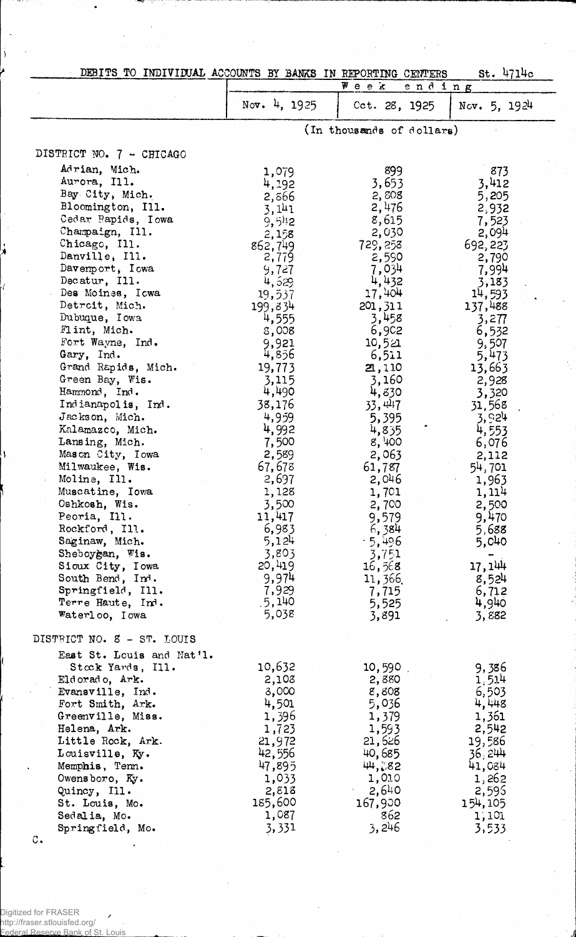| St. 4714c<br>DEBITS TO INDIVIDUAL ACCOUNTS BY BANKS IN REPORTING CENTERS |                 |                           |                 |  |
|--------------------------------------------------------------------------|-----------------|---------------------------|-----------------|--|
|                                                                          | ₩еек<br>ending  |                           |                 |  |
|                                                                          | Nov. 4, 1925    | Cct. 28, 1925             | Nov. $5, 1924$  |  |
|                                                                          |                 | (In thousands of dollars) |                 |  |
| DISTRICT NO. 7 - CHICAGO                                                 |                 |                           |                 |  |
| Adrian, Mich.                                                            | 1,079           | 899                       | 873             |  |
| Aurora, Ill.                                                             | 4,192           | 3,653                     | 3,412           |  |
| Bay City, Mich.                                                          | 2,866           | 2,808                     | 5,205           |  |
| Bloomington, Ill.                                                        | 3,141           | 2,476                     | 2,932           |  |
| Cedar Rapids, Iowa                                                       | 9,5!2           | 8,615                     | 7,523           |  |
| Champaign, Ill.                                                          | 2,158           | 2,030                     | 2,094           |  |
| Chicago, Ill.<br>Danville, Ill.                                          | 862,749         | 729,258                   | 692, 223        |  |
| Davenport, Iowa                                                          | 2,779<br>9,727  | 2,590<br>7,034            | 2,790<br>7,994  |  |
| Decatur, Ill.                                                            | 4,529           | 4,432                     | 3,183           |  |
| Des Moines, Icwa                                                         | 19,537          | 17,404                    | 14,593          |  |
| Detroit, Mich.                                                           | 199,834         | 201, 311                  | 137,488         |  |
| Dubuque, Iowa                                                            | 4,555           | 3,458                     | 3,277           |  |
| Flint, Mich.                                                             | 8,008           | 6,902                     | 6,532           |  |
| Fort Wayne, Ind.                                                         | 9,921           | 10,521                    | 9,507           |  |
| Gary, Ind.                                                               | 4,856           | 6,511                     | 5,473           |  |
| Grand Rapids, Mich.                                                      | 19,773          | 21,110                    | 13,663          |  |
| Green Bay, Wis.                                                          | 3,115           | 3,160                     | 2,928           |  |
| Hammond, Ind.<br>Indianapolis, Ind.                                      | 4,490<br>38,176 | 4,830<br>33, 447          | 3,320           |  |
| Jackson, Mich.                                                           | 4,959           | 5,395                     | 31,568<br>3,924 |  |
| Kalamazco, Mich.                                                         | 4,992           | 4,835                     | 4,553           |  |
| Lansing, Mich.                                                           | 7,500           | 8,400                     | 6,076           |  |
| Mason City, Iowa                                                         | 2,589           | 2,063                     | 2,112           |  |
| Milwaukee, Wis.                                                          | 67,678          | 61,787                    | 54,701          |  |
| Moline, Ill.                                                             | 2,697           | 2,046                     | 1,963           |  |
| Muscatine, Iowa                                                          | 1,128           | 1,701                     | 1,114           |  |
| Oshkosh, Wis.                                                            | 3,500           | 2,700                     | 2,500           |  |
| Peoria, Ill.                                                             | 11,417          | 9,579                     | 9,470           |  |
| Rockford, Ill.                                                           | 6,983           | 6,384                     | 5,688           |  |
| Saginaw, Mich.                                                           | 5,124<br>3,803  | $-5,496$                  | 5,040           |  |
| Sheboygan, Wis.<br>Sioux City, Iowa                                      | 20,419          | 3,751<br>16,568           | 17, 144         |  |
| South Bend, Ind.                                                         | 9,974           | 11,366.                   | 8,524           |  |
| Springfield, Ill.                                                        | 7,929           | 7,715                     | 6,712           |  |
| Terre Haute, Ind.                                                        | .5,140          | 5,525                     | 4,940           |  |
| Waterloo, Iowa                                                           | 5,038           | 3,891                     | 3,882           |  |
| DISTRICT NO. 3 - ST. LOUIS                                               |                 |                           |                 |  |
| East St. Louis and Nat'l.                                                |                 |                           |                 |  |
| Stock Yards, Ill.                                                        | 10,632          | 10,590                    | 9,386           |  |
| Eldorado, Ark.                                                           | 2,108           | 2,880                     | 1.514           |  |
| Evansville, Ind.                                                         | 3,000           | 8,808                     | 6,503           |  |
| Fort Smith, Ark.<br>Greenville, Miss.                                    | 4,501           | 5,036                     | 4,448<br>1,361  |  |
| Helena, Ark.                                                             | 1,396<br>1,723  | 1,379<br>1,593            | 2,542           |  |
| Little Rock, Ark.                                                        | 21,972          | 21,626                    | 19,586          |  |
| Louisville, Ky.                                                          | 42,556          | 40,685                    | 36,244          |  |
| Memphis, Tenn.                                                           | 47,895          | 44,882                    | 41,084          |  |
| Owensboro, Ky.                                                           | 1,033           | 1,010                     | 1,262           |  |
| Quincy, Ill.                                                             | 2,813           | 2,640                     | 2,595           |  |
| St. Louis, Mo.                                                           | 185,600         | 167,900                   | 154,105         |  |
| Sedalia, Mo.                                                             | 1,087           | 862                       | 1,101           |  |
| Springfield, Mo.                                                         | 3,331           | 3,246                     | 3,533           |  |

 $\bar{z}$ 

Digitized for FRASER<br>http://fraser.stlouisfed.org/<br>Eederal.Reserve Bank.of.St.

 $\overline{\phantom{a}}$ Louis

j

Ì.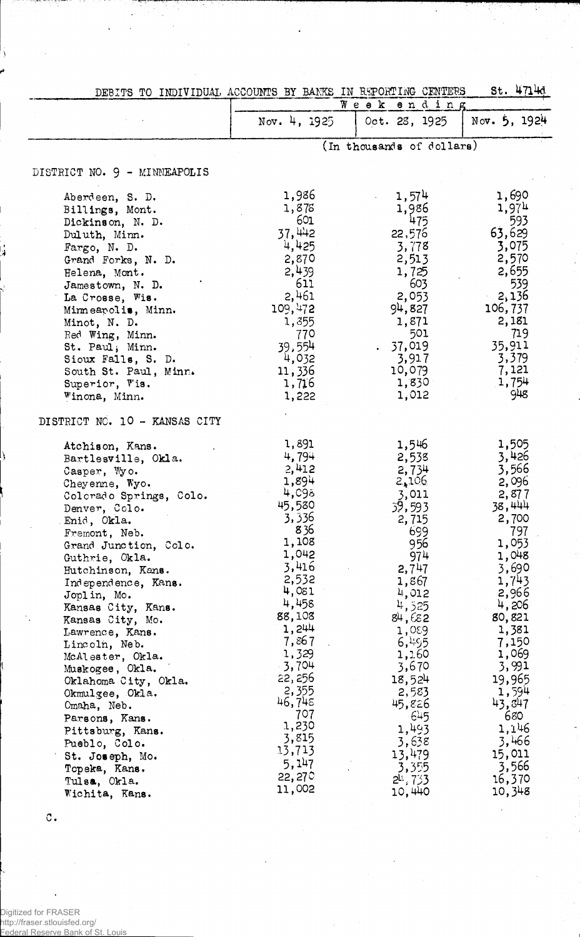<span id="page-4-0"></span>

| St. 4714d<br>DEBITS TO INDIVIDUAL ACCOUNTS BY BANKS IN REPORTING CENTERS |                  |                           |                |
|--------------------------------------------------------------------------|------------------|---------------------------|----------------|
|                                                                          | Week<br>ending   |                           |                |
|                                                                          | Nov. 4, 1925     | Oct. 28, 1925             | Nov. $5, 1924$ |
|                                                                          |                  | (In thousands of dollars) |                |
| DISTRICT NO. 9 - MINNEAPOLIS                                             |                  |                           |                |
|                                                                          | 1,986            |                           | 1,690          |
| Aberdeen, S. D.                                                          | 1,878            | 1,574                     | 1,974          |
| Billings, Mont.                                                          | 601              | 1,986<br>475              |                |
| Dickinson, N. D.                                                         | 37,442           |                           | 593<br>63,629  |
| Duluth, Minn.                                                            | 4,425            | 22,576                    | 3,075          |
| Fargo, N. D.                                                             |                  | 3,778                     |                |
| Grand Forks, N. D.                                                       | 2,870            | 2,513                     | 2,570          |
| Helena, Mont.                                                            | 2,439<br>611     | 1,725                     | 2,655          |
| Jamestown, N. D.                                                         |                  | 603<br>2,053              | 539<br>2,136   |
| La Crosse, Wis.                                                          | 2,461<br>109,472 | 94,827                    | 106,737        |
| Minneapolis, Minn.                                                       | 1,355            | 1,871                     | 2,181          |
| Minot, N. D.<br>Red Wing, Minn.                                          | 770              | 501                       | 719            |
| St. Paul, Minn.                                                          | 39,554           | 37,019                    | 35,911         |
| Sioux Falls, S. D.                                                       | 4,032            | 3,917                     | 3,379          |
| South St. Paul, Minn.                                                    | 11,336           | 10,079                    | 7,121          |
| Superior, Vis.                                                           | 1,716            | 1,830                     | 1,754          |
| Winona, Minn.                                                            | 1,222            | 1,012                     | 948            |
| DISTRICT NO. 10 - KANSAS CITY                                            |                  |                           |                |
|                                                                          | 1,891            | 1,546                     | 1,505          |
| Atchison, Kans.                                                          | 4,794            | 2,538                     | 3,426          |
| Bartlesville, Okla.                                                      | 2,412            | 2,734                     | 3,566          |
| Casper, Wyo.                                                             | 1,894            | 2,106                     | 2,096          |
| Cheyenne, Wyo.                                                           | 4,098            | 3,011                     | 2,877          |
| Colorado Springs, Colo.                                                  | 45,580           | 39,593                    | 38,444         |
| Denver, Colo.<br>Enid, Okla.                                             | 3,336            | 2,715                     | 2,700          |
| Fremont, Neb.                                                            | 836              | 699                       | 797            |
| Grand Junction, Colo.                                                    | 1,108            | 956                       | 1,053          |
| Guthrie, Okla.                                                           | 1,042            | 974                       | 1,048          |
| Hutchinson, Kans.                                                        | 3,416            | 2,747                     | 3,690          |
| Independence, Kans.                                                      | 2,532            | 1,867                     | 1,743          |
| Joplin, Mo.                                                              | 4,081            | 4,012                     | 2,966          |
| Kansas City, Kans.                                                       | 4,458            | 4,525                     | 4,206          |
| Kansas City, Mo.                                                         | 88,108           | 84,682                    | 80,821         |
| Lawrence, Kans.                                                          | 1,244            | 1,089                     | 1,381          |
| Lincoln, Neb.                                                            | 7,867            | 6,495                     | 7,150          |
| McAlester, Okla.                                                         | 1,329            | 1,160                     | 1,069          |
| Muskogee, Okla.                                                          | $-3,704$         | 3,670                     | 3,991          |
| Oklahoma City, Okla.                                                     | 22, 256          | 18,524                    | 19,965         |
| Okmulgee, Okla.                                                          | 2,355            | 2,583                     | 1,594          |
| Omaha, Neb.                                                              | 46,745           | 45,826                    | 43,847         |
| Parsons, Kans.                                                           | 707<br>1,230     | 645                       | 680            |
| Pittsburg, Kans.                                                         | 3,815            | 1,493                     | 1,146          |
| Pueblo, Colo.                                                            | 13,713           | 3,638                     | 3,466          |
| St. Joseph, Mo.                                                          | 5,147            | 13,479                    | 15,011         |
| Topeka, Kans.                                                            | 22,270           | 3,355                     | 3,566          |
| Tulsa, Okla.                                                             | 11,002           | $2^{11}$ , $733$          | 16,370         |
| Wichita, Kans.                                                           |                  | 10,440                    | 10,348         |

 $\circ$ .

Digitized for FRASER http://fraser.stlouisfed.org/ Federal Reserve Bank of St. Louis